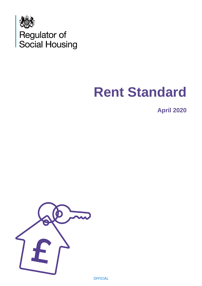

# **Rent Standard**

**April 2020**



**OFFICIAL**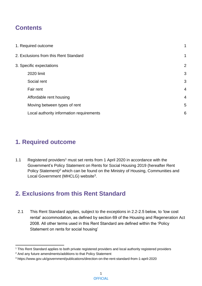# **Contents**

|                          | 1. Required outcome                      |                |
|--------------------------|------------------------------------------|----------------|
|                          | 2. Exclusions from this Rent Standard    |                |
| 3. Specific expectations |                                          | $\overline{2}$ |
|                          | 2020 limit                               | 3              |
|                          | Social rent                              | 3              |
|                          | Fair rent                                | $\overline{4}$ |
|                          | Affordable rent housing                  | $\overline{4}$ |
|                          | Moving between types of rent             | 5              |
|                          | Local authority information requirements | 6              |

# <span id="page-1-0"></span>**1. Required outcome**

1.1 Registered providers<sup>1</sup> must set rents from 1 April 2020 in accordance with the Government's Policy Statement on Rents for Social Housing 2019 (hereafter Rent Policy Statement*) <sup>2</sup>* which can be found on the Ministry of Housing, Communities and Local Government (MHCLG) website<sup>3</sup>.

# <span id="page-1-1"></span>**2. Exclusions from this Rent Standard**

2.1 This Rent Standard applies, subject to the exceptions in 2.2-2.5 below, to 'low cost rental' accommodation, as defined by section 69 of the Housing and Regeneration Act 2008. All other terms used in this Rent Standard are defined within the 'Policy Statement on rents for social housing'

<sup>&</sup>lt;sup>1</sup> This Rent Standard applies to both private registered providers and local authority registered providers

<sup>2</sup> And any future amendments/additions to that Policy Statement

<sup>3</sup> https://www.gov.uk/government/publications/direction-on-the-rent-standard-from-1-april-2020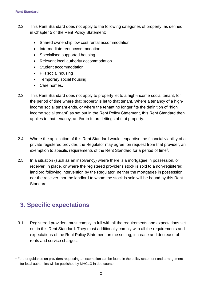- 2.2 This Rent Standard does not apply to the following categories of property, as defined in Chapter 5 of the Rent Policy Statement:
	- Shared ownership low cost rental accommodation
	- Intermediate rent accommodation
	- Specialised supported housing
	- Relevant local authority accommodation
	- Student accommodation
	- PFI social housing
	- Temporary social housing
	- Care homes.
- 2.3 This Rent Standard does not apply to property let to a high-income social tenant, for the period of time where that property is let to that tenant. Where a tenancy of a highincome social tenant ends, or where the tenant no longer fits the definition of "high income social tenant" as set out in the Rent Policy Statement, this Rent Standard then applies to that tenancy, and/or to future lettings of that property.
- 2.4 Where the application of this Rent Standard would jeopardise the financial viability of a private registered provider, the Regulator may agree, on request from that provider, an exemption to specific requirements of the Rent Standard for a period of time<sup>4</sup>.
- 2.5 In a situation (such as an insolvency) where there is a mortgagee in possession, or receiver, in place, or where the registered provider's stock is sold to a non-registered landlord following intervention by the Regulator, neither the mortgagee in possession, nor the receiver, nor the landlord to whom the stock is sold will be bound by this Rent Standard.

### <span id="page-2-0"></span>**3. Specific expectations**

3.1 Registered providers must comply in full with all the requirements and expectations set out in this Rent Standard. They must additionally comply with all the requirements and expectations of the Rent Policy Statement on the setting, increase and decrease of rents and service charges.

<sup>&</sup>lt;sup>4</sup> Further guidance on providers requesting an exemption can be found in the policy statement and arrangement for local authorities will be published by MHCLG in due course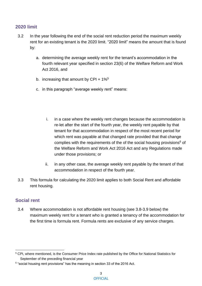#### <span id="page-3-0"></span>**2020 limit**

- 3.2 In the year following the end of the social rent reduction period the maximum weekly rent for an existing tenant is the 2020 limit. "2020 limit" means the amount that is found by:
	- a. determining the average weekly rent for the tenant's accommodation in the fourth relevant year specified in section 23(6) of the Welfare Reform and Work Act 2016, and
	- b. increasing that amount by CPI +  $1\%$ <sup>5</sup>
	- c. in this paragraph "average weekly rent" means:
		- i. in a case where the weekly rent changes because the accommodation is re-let after the start of the fourth year, the weekly rent payable by that tenant for that accommodation in respect of the most recent period for which rent was payable at that changed rate provided that that change complies with the requirements of the of the social housing provisions $6$  of the Welfare Reform and Work Act 2016 Act and any Regulations made under those provisions; or
		- ii. in any other case, the average weekly rent payable by the tenant of that accommodation in respect of the fourth year.
- 3.3 This formula for calculating the 2020 limit applies to both Social Rent and affordable rent housing.

#### <span id="page-3-1"></span>**Social rent**

3.4 Where accommodation is not affordable rent housing (see 3.8-3.9 below) the maximum weekly rent for a tenant who is granted a tenancy of the accommodation for the first time is formula rent. Formula rents are exclusive of any service charges.

<sup>5</sup> CPI, where mentioned, is the Consumer Price Index rate published by the Office for National Statistics for September of the preceding financial year

<sup>&</sup>lt;sup>6</sup> "social housing rent provisions" has the meaning in section 33 of the 2016 Act.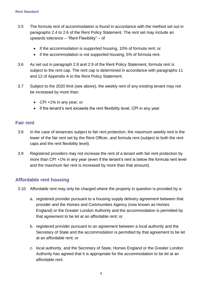- 3.5 The formula rent of accommodation is found in accordance with the method set out in paragraphs 2.4 to 2.6 of the Rent Policy Statement. The rent set may include an upwards tolerance – "Rent Flexibility" – of
	- if the accommodation is supported housing, 10% of formula rent; or
	- if the accommodation is not supported housing, 5% of formula rent.
- 3.6 As set out in paragraph 2.8 and 2.9 of the Rent Policy Statement, formula rent is subject to the rent cap. The rent cap is determined in accordance with paragraphs 11 and 12 of Appendix A to the Rent Policy Statement.
- 3.7 Subject to the 2020 limit (see above), the weekly rent of any existing tenant may not be increased by more than:
	- CPI +1% in any year; or
	- if the tenant's rent exceeds the rent flexibility level, CPI in any year.

#### <span id="page-4-0"></span>**Fair rent**

- 3.8 In the case of tenancies subject to fair rent protection, the maximum weekly rent is the lower of the fair rent set by the Rent Officer, and formula rent (subject to both the rent caps and the rent flexibility level).
- 3.9 Registered providers may not increase the rent of a tenant with fair rent protection by more than CPI +1% in any year (even if the tenant's rent is below the formula rent level and the maximum fair rent is increased by more than that amount).

#### <span id="page-4-1"></span>**Affordable rent housing**

- 3.10 Affordable rent may only be charged where the property in question is provided by a:
	- a. registered provider pursuant to a housing supply delivery agreement between that provider and the Homes and Communities Agency (now known as Homes England) or the Greater London Authority and the accommodation is permitted by that agreement to be let at an affordable rent; or
	- b. registered provider pursuant to an agreement between a local authority and the Secretary of State and the accommodation is permitted by that agreement to be let at an affordable rent; or
	- c. local authority, and the Secretary of State, Homes England or the Greater London Authority has agreed that it is appropriate for the accommodation to be let at an affordable rent.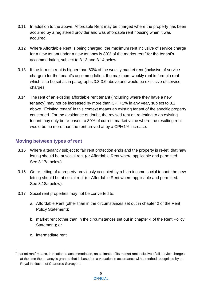- 3.11 In addition to the above, Affordable Rent may be charged where the property has been acquired by a registered provider and was affordable rent housing when it was acquired.
- 3.12 Where Affordable Rent is being charged, the maximum rent inclusive of service charge for a new tenant under a new tenancy is 80% of the market rent<sup>7</sup> for the tenant's accommodation, subject to 3.13 and 3.14 below.
- 3.13 If the formula rent is higher than 80% of the weekly market rent (inclusive of service charges) for the tenant's accommodation, the maximum weekly rent is formula rent which is to be set as in paragraphs 3.3-3.6 above and would be exclusive of service charges.
- 3.14 The rent of an existing affordable rent tenant (including where they have a new tenancy) may not be increased by more than CPI +1% in any year, subject to 3.2 above. 'Existing tenant' in this context means an existing tenant of the specific property concerned. For the avoidance of doubt, the revised rent on re-letting to an existing tenant may only be re-based to 80% of current market value where the resulting rent would be no more than the rent arrived at by a CPI+1% increase.

#### <span id="page-5-0"></span>**Moving between types of rent**

- 3.15 Where a tenancy subject to fair rent protection ends and the property is re-let, that new letting should be at social rent (or Affordable Rent where applicable and permitted. See 3.17a below).
- 3.16 On re-letting of a property previously occupied by a high-income social tenant, the new letting should be at social rent (or Affordable Rent where applicable and permitted. See 3.18a below).
- 3.17 Social rent properties may not be converted to:
	- a. Affordable Rent (other than in the circumstances set out in chapter 2 of the Rent Policy Statement);
	- b. market rent (other than in the circumstances set out in chapter 4 of the Rent Policy Statement); or
	- c. intermediate rent.

 $<sup>7</sup>$  market rent" means, in relation to accommodation, an estimate of its market rent inclusive of all service charges</sup> at the time the tenancy is granted that is based on a valuation in accordance with a method recognised by the Royal Institution of Chartered Surveyors.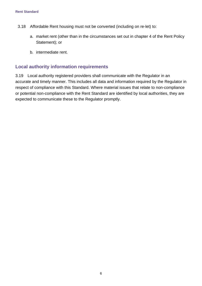- 3.18 Affordable Rent housing must not be converted (including on re-let) to:
	- a. market rent (other than in the circumstances set out in chapter 4 of the Rent Policy Statement); or
	- b. intermediate rent.

#### <span id="page-6-0"></span>**Local authority information requirements**

3.19 Local authority registered providers shall communicate with the Regulator in an accurate and timely manner. This includes all data and information required by the Regulator in respect of compliance with this Standard. Where material issues that relate to non-compliance or potential non-compliance with the Rent Standard are identified by local authorities, they are expected to communicate these to the Regulator promptly.